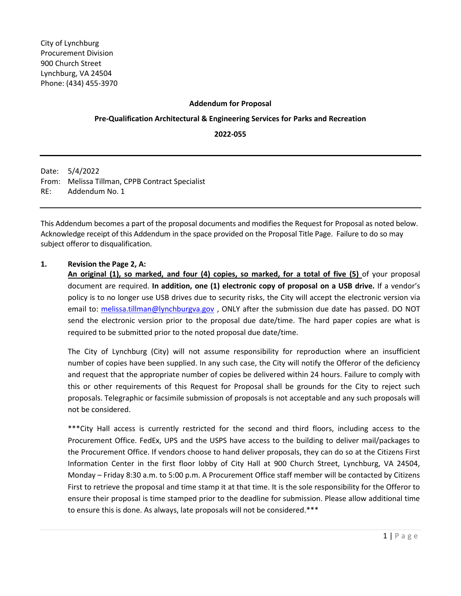## **Addendum for Proposal**

## **Pre-Qualification Architectural & Engineering Services for Parks and Recreation**

**2022-055**

Date: 5/4/2022 From: Melissa Tillman, CPPB Contract Specialist RE: Addendum No. 1

This Addendum becomes a part of the proposal documents and modifies the Request for Proposal as noted below. Acknowledge receipt of this Addendum in the space provided on the Proposal Title Page. Failure to do so may subject offeror to disqualification.

## **1. Revision the Page 2, A:**

**An original (1), so marked, and four (4) copies, so marked, for a total of five (5)** of your proposal document are required. **In addition, one (1) electronic copy of proposal on a USB drive.** If a vendor's policy is to no longer use USB drives due to security risks, the City will accept the electronic version via email to: [melissa.tillman@lynchburgva.gov](mailto:melissa.tillman@lynchburgva.gov), ONLY after the submission due date has passed. DO NOT send the electronic version prior to the proposal due date/time. The hard paper copies are what is required to be submitted prior to the noted proposal due date/time.

The City of Lynchburg (City) will not assume responsibility for reproduction where an insufficient number of copies have been supplied. In any such case, the City will notify the Offeror of the deficiency and request that the appropriate number of copies be delivered within 24 hours. Failure to comply with this or other requirements of this Request for Proposal shall be grounds for the City to reject such proposals. Telegraphic or facsimile submission of proposals is not acceptable and any such proposals will not be considered.

\*\*\*City Hall access is currently restricted for the second and third floors, including access to the Procurement Office. FedEx, UPS and the USPS have access to the building to deliver mail/packages to the Procurement Office. If vendors choose to hand deliver proposals, they can do so at the Citizens First Information Center in the first floor lobby of City Hall at 900 Church Street, Lynchburg, VA 24504, Monday – Friday 8:30 a.m. to 5:00 p.m. A Procurement Office staff member will be contacted by Citizens First to retrieve the proposal and time stamp it at that time. It is the sole responsibility for the Offeror to ensure their proposal is time stamped prior to the deadline for submission. Please allow additional time to ensure this is done. As always, late proposals will not be considered.\*\*\*